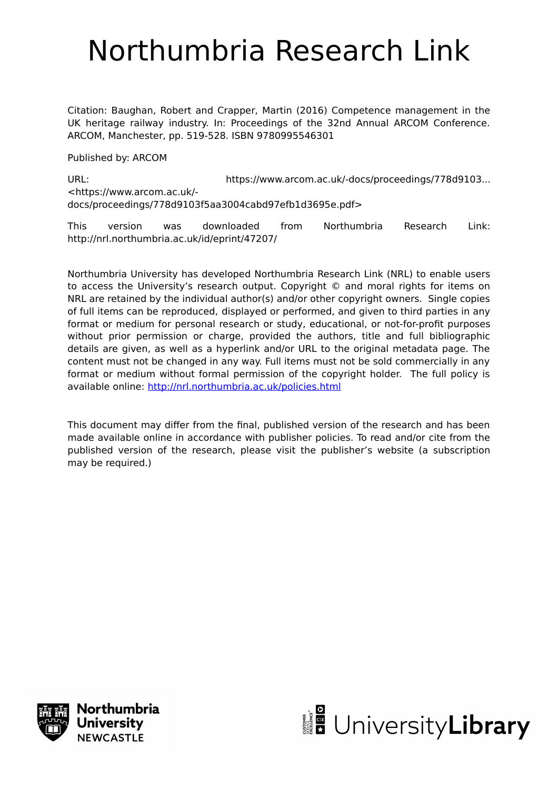# Northumbria Research Link

Citation: Baughan, Robert and Crapper, Martin (2016) Competence management in the UK heritage railway industry. In: Proceedings of the 32nd Annual ARCOM Conference. ARCOM, Manchester, pp. 519-528. ISBN 9780995546301

Published by: ARCOM

URL: https://www.arcom.ac.uk/-docs/proceedings/778d9103... <https://www.arcom.ac.uk/ docs/proceedings/778d9103f5aa3004cabd97efb1d3695e.pdf>

This version was downloaded from Northumbria Research Link: http://nrl.northumbria.ac.uk/id/eprint/47207/

Northumbria University has developed Northumbria Research Link (NRL) to enable users to access the University's research output. Copyright © and moral rights for items on NRL are retained by the individual author(s) and/or other copyright owners. Single copies of full items can be reproduced, displayed or performed, and given to third parties in any format or medium for personal research or study, educational, or not-for-profit purposes without prior permission or charge, provided the authors, title and full bibliographic details are given, as well as a hyperlink and/or URL to the original metadata page. The content must not be changed in any way. Full items must not be sold commercially in any format or medium without formal permission of the copyright holder. The full policy is available online:<http://nrl.northumbria.ac.uk/policies.html>

This document may differ from the final, published version of the research and has been made available online in accordance with publisher policies. To read and/or cite from the published version of the research, please visit the publisher's website (a subscription may be required.)



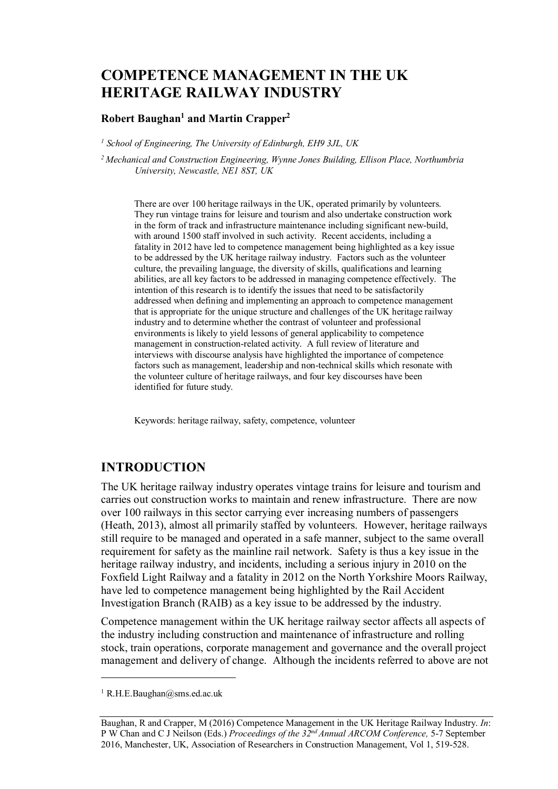# **COMPETENCE MANAGEMENT IN THE UK HERITAGE RAILWAY INDUSTRY**

#### Robert Baughan<sup>1</sup> and Martin Crapper<sup>2</sup>

<sup>1</sup> School of Engineering, The University of Edinburgh, EH9 3JL, UK

 $<sup>2</sup> Mechanical and Construction Engineering, Wynne Jones Building, Ellison Place, Northumbria$ </sup> University, Newcastle, NE1 8ST, UK

There are over 100 heritage railways in the UK, operated primarily by volunteers. They run vintage trains for leisure and tourism and also undertake construction work in the form of track and infrastructure maintenance including significant new-build, with around 1500 staff involved in such activity. Recent accidents, including a fatality in 2012 have led to competence management being highlighted as a key issue to be addressed by the UK heritage railway industry. Factors such as the volunteer culture, the prevailing language, the diversity of skills, qualifications and learning abilities, are all key factors to be addressed in managing competence effectively. The intention of this research is to identify the issues that need to be satisfactorily addressed when defining and implementing an approach to competence management that is appropriate for the unique structure and challenges of the UK heritage railway industry and to determine whether the contrast of volunteer and professional environments is likely to yield lessons of general applicability to competence management in construction-related activity. A full review of literature and interviews with discourse analysis have highlighted the importance of competence factors such as management. leadership and non-technical skills which resonate with the volunteer culture of heritage railways, and four key discourses have been identified for future study.

Keywords: heritage railway, safety, competence, volunteer

## **INTRODUCTION**

The UK heritage railway industry operates vintage trains for leisure and tourism and carries out construction works to maintain and renew infrastructure. There are now over 100 railways in this sector carrying ever increasing numbers of passengers (Heath, 2013), almost all primarily staffed by volunteers. However, heritage railways still require to be managed and operated in a safe manner, subject to the same overall requirement for safety as the mainline rail network. Safety is thus a key issue in the heritage railway industry, and incidents, including a serious injury in 2010 on the Foxfield Light Railway and a fatality in 2012 on the North Yorkshire Moors Railway, have led to competence management being highlighted by the Rail Accident Investigation Branch (RAIB) as a key issue to be addressed by the industry.

Competence management within the UK heritage railway sector affects all aspects of the industry including construction and maintenance of infrastructure and rolling stock, train operations, corporate management and governance and the overall project management and delivery of change. Although the incidents referred to above are not

<sup>&</sup>lt;sup>1</sup> R.H.E.Baughan@sms.ed.ac.uk

Baughan, R and Crapper, M (2016) Competence Management in the UK Heritage Railway Industry. In: P W Chan and C J Neilson (Eds.) Proceedings of the 32<sup>nd</sup> Annual ARCOM Conference, 5-7 September 2016, Manchester, UK, Association of Researchers in Construction Management, Vol 1, 519-528.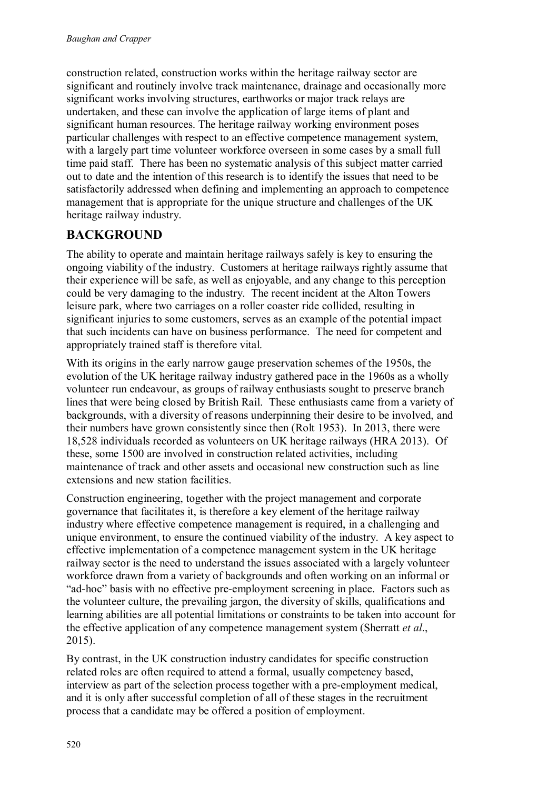construction related, construction works within the heritage railway sector are significant and routinely involve track maintenance, drainage and occasionally more significant works involving structures, earthworks or major track relays are undertaken, and these can involve the application of large items of plant and significant human resources. The heritage railway working environment poses particular challenges with respect to an effective competence management system, with a largely part time volunteer workforce overseen in some cases by a small full time paid staff. There has been no systematic analysis of this subject matter carried out to date and the intention of this research is to identify the issues that need to be satisfactorily addressed when defining and implementing an approach to competence management that is appropriate for the unique structure and challenges of the UK heritage railway industry.

## **BACKGROUND**

The ability to operate and maintain heritage railways safely is key to ensuring the ongoing viability of the industry. Customers at heritage railways rightly assume that their experience will be safe, as well as enjoyable, and any change to this perception could be very damaging to the industry. The recent incident at the Alton Towers leisure park, where two carriages on a roller coaster ride collided, resulting in significant injuries to some customers, serves as an example of the potential impact that such incidents can have on business performance. The need for competent and appropriately trained staff is therefore vital.

With its origins in the early narrow gauge preservation schemes of the 1950s, the evolution of the UK heritage railway industry gathered pace in the 1960s as a wholly volunteer run endeavour, as groups of railway enthusiasts sought to preserve branch lines that were being closed by British Rail. These enthusiasts came from a variety of backgrounds, with a diversity of reasons underpinning their desire to be involved, and their numbers have grown consistently since then (Rolt 1953). In 2013, there were 18,528 individuals recorded as volunteers on UK heritage railways (HRA 2013). Of these, some 1500 are involved in construction related activities, including maintenance of track and other assets and occasional new construction such as line extensions and new station facilities.

Construction engineering, together with the project management and corporate governance that facilitates it, is therefore a key element of the heritage railway industry where effective competence management is required, in a challenging and unique environment, to ensure the continued viability of the industry. A key aspect to effective implementation of a competence management system in the UK heritage railway sector is the need to understand the issues associated with a largely volunteer workforce drawn from a variety of backgrounds and often working on an informal or "ad-hoc" basis with no effective pre-employment screening in place. Factors such as the volunteer culture, the prevailing jargon, the diversity of skills, qualifications and learning abilities are all potential limitations or constraints to be taken into account for the effective application of any competence management system (Sherratt et al.,  $2015$ ).

By contrast, in the UK construction industry candidates for specific construction related roles are often required to attend a formal, usually competency based, interview as part of the selection process together with a pre-employment medical, and it is only after successful completion of all of these stages in the recruitment process that a candidate may be offered a position of employment.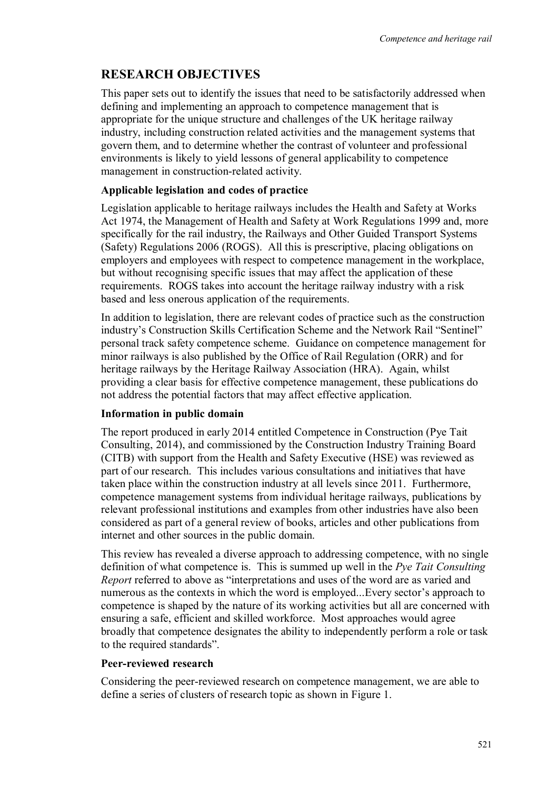## **RESEARCH OBJECTIVES**

This paper sets out to identify the issues that need to be satisfactorily addressed when defining and implementing an approach to competence management that is appropriate for the unique structure and challenges of the UK heritage railway industry, including construction related activities and the management systems that govern them, and to determine whether the contrast of volunteer and professional environments is likely to yield lessons of general applicability to competence management in construction-related activity.

#### Applicable legislation and codes of practice

Legislation applicable to heritage railways includes the Health and Safety at Works Act 1974, the Management of Health and Safety at Work Regulations 1999 and, more specifically for the rail industry, the Railways and Other Guided Transport Systems (Safety) Regulations 2006 (ROGS). All this is prescriptive, placing obligations on employers and employees with respect to competence management in the workplace, but without recognising specific issues that may affect the application of these requirements. ROGS takes into account the heritage railway industry with a risk based and less onerous application of the requirements.

In addition to legislation, there are relevant codes of practice such as the construction industry's Construction Skills Certification Scheme and the Network Rail "Sentinel" personal track safety competence scheme. Guidance on competence management for minor railways is also published by the Office of Rail Regulation (ORR) and for heritage railways by the Heritage Railway Association (HRA). Again, whilst providing a clear basis for effective competence management, these publications do not address the potential factors that may affect effective application.

#### Information in public domain

The report produced in early 2014 entitled Competence in Construction (Pye Tait Consulting, 2014), and commissioned by the Construction Industry Training Board (CITB) with support from the Health and Safety Executive (HSE) was reviewed as part of our research. This includes various consultations and initiatives that have taken place within the construction industry at all levels since 2011. Furthermore, competence management systems from individual heritage railways, publications by relevant professional institutions and examples from other industries have also been considered as part of a general review of books, articles and other publications from internet and other sources in the public domain.

This review has revealed a diverse approach to addressing competence, with no single definition of what competence is. This is summed up well in the Pye Tait Consulting *Report* referred to above as "interpretations and uses of the word are as varied and numerous as the contexts in which the word is employed...Every sector's approach to competence is shaped by the nature of its working activities but all are concerned with ensuring a safe, efficient and skilled workforce. Most approaches would agree broadly that competence designates the ability to independently perform a role or task to the required standards".

#### Peer-reviewed research

Considering the peer-reviewed research on competence management, we are able to define a series of clusters of research topic as shown in Figure 1.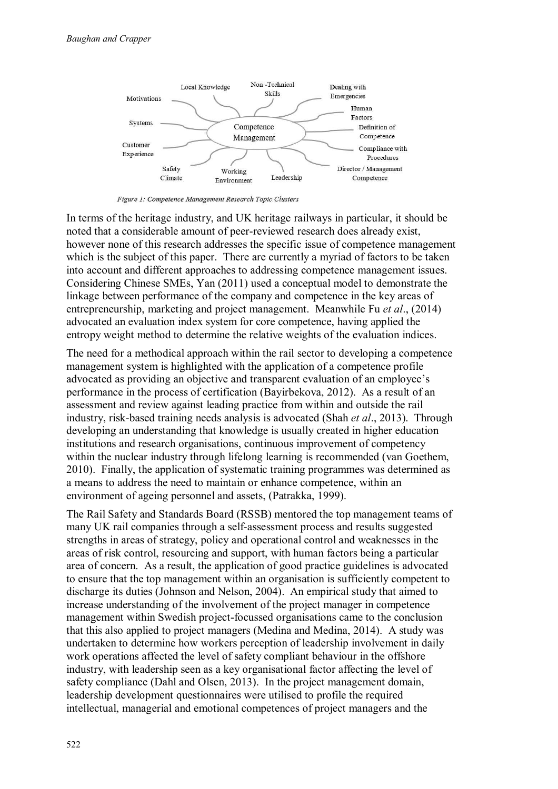

Figure 1: Competence Management Research Topic Clusters

In terms of the heritage industry, and UK heritage railways in particular, it should be noted that a considerable amount of peer-reviewed research does already exist. however none of this research addresses the specific issue of competence management which is the subject of this paper. There are currently a myriad of factors to be taken into account and different approaches to addressing competence management issues. Considering Chinese SMEs, Yan (2011) used a conceptual model to demonstrate the linkage between performance of the company and competence in the key areas of entrepreneurship, marketing and project management. Meanwhile Fu et al., (2014) advocated an evaluation index system for core competence, having applied the entropy weight method to determine the relative weights of the evaluation indices.

The need for a methodical approach within the rail sector to developing a competence management system is highlighted with the application of a competence profile advocated as providing an objective and transparent evaluation of an employee's performance in the process of certification (Bayirbekova, 2012). As a result of an assessment and review against leading practice from within and outside the rail industry, risk-based training needs analysis is advocated (Shah et al., 2013). Through developing an understanding that knowledge is usually created in higher education institutions and research organisations, continuous improvement of competency within the nuclear industry through lifelong learning is recommended (van Goethem, 2010). Finally, the application of systematic training programmes was determined as a means to address the need to maintain or enhance competence, within an environment of ageing personnel and assets, (Patrakka, 1999).

The Rail Safety and Standards Board (RSSB) mentored the top management teams of many UK rail companies through a self-assessment process and results suggested strengths in areas of strategy, policy and operational control and weaknesses in the areas of risk control, resourcing and support, with human factors being a particular area of concern. As a result, the application of good practice guidelines is advocated to ensure that the top management within an organisation is sufficiently competent to discharge its duties (Johnson and Nelson, 2004). An empirical study that aimed to increase understanding of the involvement of the project manager in competence management within Swedish project-focussed organisations came to the conclusion that this also applied to project managers (Medina and Medina, 2014). A study was undertaken to determine how workers perception of leadership involvement in daily work operations affected the level of safety compliant behaviour in the offshore industry, with leadership seen as a key organisational factor affecting the level of safety compliance (Dahl and Olsen, 2013). In the project management domain, leadership development questionnaires were utilised to profile the required intellectual, managerial and emotional competences of project managers and the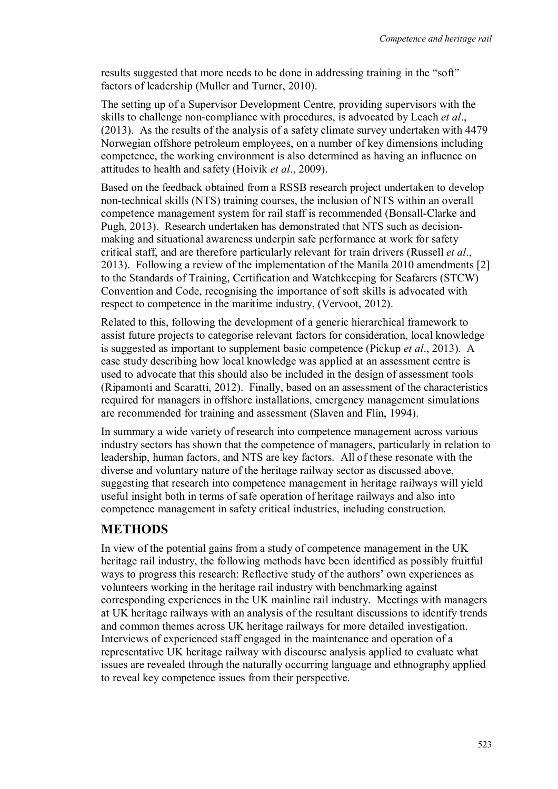results suggested that more needs to be done in addressing training in the "soft" factors of leadership (Muller and Turner, 2010).

The setting up of a Supervisor Development Centre, providing supervisors with the skills to challenge non-compliance with procedures, is advocated by Leach et al., (2013). As the results of the analysis of a safety climate survey undertaken with 4479 Norwegian offshore petroleum employees, on a number of key dimensions including competence, the working environment is also determined as having an influence on attitudes to health and safety (Hoivik et al., 2009).

Based on the feedback obtained from a RSSB research project undertaken to develop non-technical skills (NTS) training courses, the inclusion of NTS within an overall competence management system for rail staff is recommended (Bonsall-Clarke and Pugh, 2013). Research undertaken has demonstrated that NTS such as decisionmaking and situational awareness underpin safe performance at work for safety critical staff, and are therefore particularly relevant for train drivers (Russell et al., 2013). Following a review of the implementation of the Manila 2010 amendments [2] to the Standards of Training, Certification and Watchkeeping for Seafarers (STCW) Convention and Code, recognising the importance of soft skills is advocated with respect to competence in the maritime industry, (Vervoot, 2012).

Related to this, following the development of a generic hierarchical framework to assist future projects to categorise relevant factors for consideration, local knowledge is suggested as important to supplement basic competence (Pickup et al., 2013). A case study describing how local knowledge was applied at an assessment centre is used to advocate that this should also be included in the design of assessment tools (Ripamonti and Scaratti, 2012). Finally, based on an assessment of the characteristics required for managers in offshore installations, emergency management simulations are recommended for training and assessment (Slaven and Flin, 1994).

In summary a wide variety of research into competence management across various industry sectors has shown that the competence of managers, particularly in relation to leadership, human factors, and NTS are key factors. All of these resonate with the diverse and voluntary nature of the heritage railway sector as discussed above, suggesting that research into competence management in heritage railways will yield useful insight both in terms of safe operation of heritage railways and also into competence management in safety critical industries, including construction.

### **METHODS**

In view of the potential gains from a study of competence management in the UK heritage rail industry, the following methods have been identified as possibly fruitful ways to progress this research: Reflective study of the authors' own experiences as volunteers working in the heritage rail industry with benchmarking against corresponding experiences in the UK mainline rail industry. Meetings with managers at UK heritage railways with an analysis of the resultant discussions to identify trends and common themes across UK heritage railways for more detailed investigation. Interviews of experienced staff engaged in the maintenance and operation of a representative UK heritage railway with discourse analysis applied to evaluate what issues are revealed through the naturally occurring language and ethnography applied to reveal key competence issues from their perspective.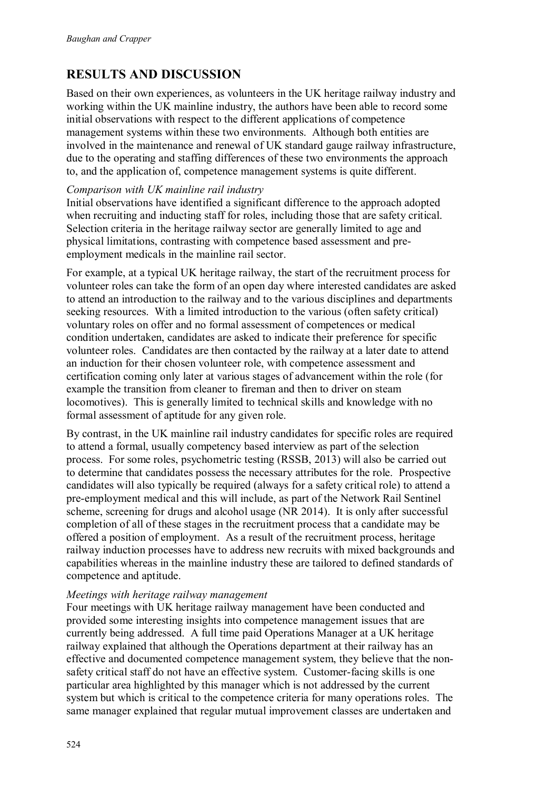# **RESULTS AND DISCUSSION**

Based on their own experiences, as volunteers in the UK heritage railway industry and working within the UK mainline industry, the authors have been able to record some initial observations with respect to the different applications of competence management systems within these two environments. Although both entities are involved in the maintenance and renewal of UK standard gauge railway infrastructure, due to the operating and staffing differences of these two environments the approach to, and the application of, competence management systems is quite different.

#### Comparison with UK mainline rail industry

Initial observations have identified a significant difference to the approach adopted when recruiting and inducting staff for roles, including those that are safety critical. Selection criteria in the heritage railway sector are generally limited to age and physical limitations, contrasting with competence based assessment and preemployment medicals in the mainline rail sector.

For example, at a typical UK heritage railway, the start of the recruitment process for volunteer roles can take the form of an open day where interested candidates are asked to attend an introduction to the railway and to the various disciplines and departments seeking resources. With a limited introduction to the various (often safety critical) voluntary roles on offer and no formal assessment of competences or medical condition undertaken, candidates are asked to indicate their preference for specific volunteer roles. Candidates are then contacted by the railway at a later date to attend an induction for their chosen volunteer role, with competence assessment and certification coming only later at various stages of advancement within the role (for example the transition from cleaner to fireman and then to driver on steam locomotives). This is generally limited to technical skills and knowledge with no formal assessment of aptitude for any given role.

By contrast, in the UK mainline rail industry candidates for specific roles are required to attend a formal, usually competency based interview as part of the selection process. For some roles, psychometric testing (RSSB, 2013) will also be carried out to determine that candidates possess the necessary attributes for the role. Prospective candidates will also typically be required (always for a safety critical role) to attend a pre-employment medical and this will include, as part of the Network Rail Sentinel scheme, screening for drugs and alcohol usage (NR 2014). It is only after successful completion of all of these stages in the recruitment process that a candidate may be offered a position of employment. As a result of the recruitment process, heritage railway induction processes have to address new recruits with mixed backgrounds and capabilities whereas in the mainline industry these are tailored to defined standards of competence and aptitude.

#### Meetings with heritage railway management

Four meetings with UK heritage railway management have been conducted and provided some interesting insights into competence management issues that are currently being addressed. A full time paid Operations Manager at a UK heritage railway explained that although the Operations department at their railway has an effective and documented competence management system, they believe that the nonsafety critical staff do not have an effective system. Customer-facing skills is one particular area highlighted by this manager which is not addressed by the current system but which is critical to the competence criteria for many operations roles. The same manager explained that regular mutual improvement classes are undertaken and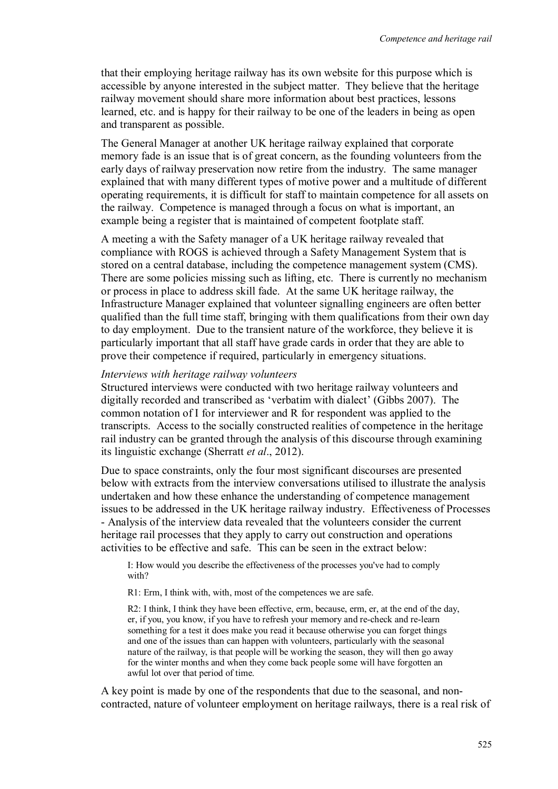that their employing heritage railway has its own website for this purpose which is accessible by anyone interested in the subject matter. They believe that the heritage railway movement should share more information about best practices, lessons learned, etc. and is happy for their railway to be one of the leaders in being as open and transparent as possible.

The General Manager at another UK heritage railway explained that corporate memory fade is an issue that is of great concern, as the founding volunteers from the early days of railway preservation now retire from the industry. The same manager explained that with many different types of motive power and a multitude of different operating requirements, it is difficult for staff to maintain competence for all assets on the railway. Competence is managed through a focus on what is important, an example being a register that is maintained of competent footplate staff.

A meeting a with the Safety manager of a UK heritage railway revealed that compliance with ROGS is achieved through a Safety Management System that is stored on a central database, including the competence management system (CMS). There are some policies missing such as lifting, etc. There is currently no mechanism or process in place to address skill fade. At the same UK heritage railway, the Infrastructure Manager explained that volunteer signalling engineers are often better qualified than the full time staff, bringing with them qualifications from their own day to day employment. Due to the transient nature of the workforce, they believe it is particularly important that all staff have grade cards in order that they are able to prove their competence if required, particularly in emergency situations.

#### Interviews with heritage railway volunteers

Structured interviews were conducted with two heritage railway volunteers and digitally recorded and transcribed as 'verbatim with dialect' (Gibbs 2007). The common notation of I for interviewer and R for respondent was applied to the transcripts. Access to the socially constructed realities of competence in the heritage rail industry can be granted through the analysis of this discourse through examining its linguistic exchange (Sherratt et al., 2012).

Due to space constraints, only the four most significant discourses are presented below with extracts from the interview conversations utilised to illustrate the analysis undertaken and how these enhance the understanding of competence management issues to be addressed in the UK heritage railway industry. Effectiveness of Processes - Analysis of the interview data revealed that the volunteers consider the current heritage rail processes that they apply to carry out construction and operations activities to be effective and safe. This can be seen in the extract below:

I: How would you describe the effectiveness of the processes you've had to comply with?

R1: Erm, I think with, with, most of the competences we are safe.

R2: I think, I think they have been effective, erm, because, erm, er, at the end of the day, er, if you, you know, if you have to refresh your memory and re-check and re-learn something for a test it does make you read it because otherwise you can forget things and one of the issues than can happen with volunteers, particularly with the seasonal nature of the railway, is that people will be working the season, they will then go away for the winter months and when they come back people some will have forgotten an awful lot over that period of time.

A key point is made by one of the respondents that due to the seasonal, and noncontracted, nature of volunteer employment on heritage railways, there is a real risk of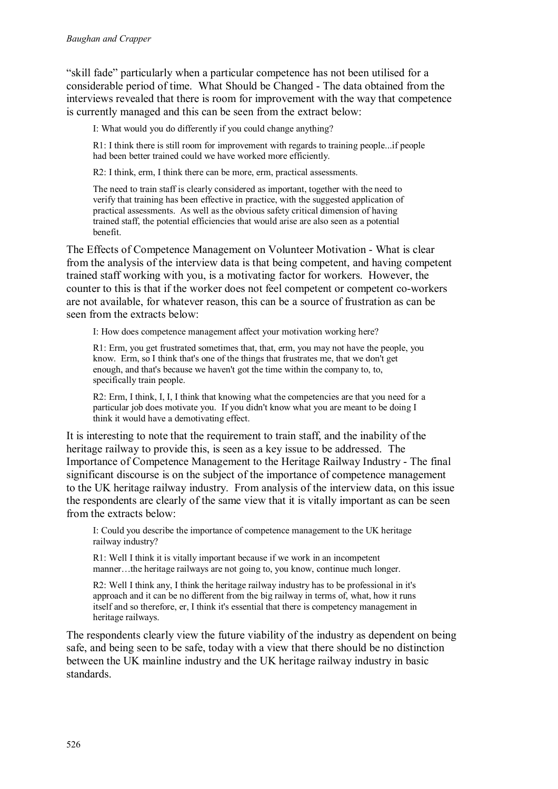"skill fade" particularly when a particular competence has not been utilised for a considerable period of time. What Should be Changed - The data obtained from the interviews revealed that there is room for improvement with the way that competence is currently managed and this can be seen from the extract below:

I: What would you do differently if you could change anything?

R1: I think there is still room for improvement with regards to training people...if people had been better trained could we have worked more efficiently.

R2: I think, erm, I think there can be more, erm, practical assessments.

The need to train staff is clearly considered as important, together with the need to verify that training has been effective in practice, with the suggested application of practical assessments. As well as the obvious safety critical dimension of having trained staff, the potential efficiencies that would arise are also seen as a potential benefit.

The Effects of Competence Management on Volunteer Motivation - What is clear from the analysis of the interview data is that being competent, and having competent trained staff working with you, is a motivating factor for workers. However, the counter to this is that if the worker does not feel competent or competent co-workers are not available, for whatever reason, this can be a source of frustration as can be seen from the extracts below:

I: How does competence management affect your motivation working here?

R1: Erm, you get frustrated sometimes that, that, erm, you may not have the people, you know. Erm, so I think that's one of the things that frustrates me, that we don't get enough, and that's because we haven't got the time within the company to, to, specifically train people.

R2: Erm, I think, I, I, I think that knowing what the competencies are that you need for a particular job does motivate you. If you didn't know what you are meant to be doing I think it would have a demotivating effect.

It is interesting to note that the requirement to train staff, and the inability of the heritage railway to provide this, is seen as a key issue to be addressed. The Importance of Competence Management to the Heritage Railway Industry - The final significant discourse is on the subject of the importance of competence management to the UK heritage railway industry. From analysis of the interview data, on this issue the respondents are clearly of the same view that it is vitally important as can be seen from the extracts below:

I: Could you describe the importance of competence management to the UK heritage railway industry?

R1: Well I think it is vitally important because if we work in an incompetent manner...the heritage railways are not going to, you know, continue much longer.

R2: Well I think any, I think the heritage railway industry has to be professional in it's approach and it can be no different from the big railway in terms of, what, how it runs itself and so therefore, er, I think it's essential that there is competency management in heritage railways.

The respondents clearly view the future viability of the industry as dependent on being safe, and being seen to be safe, today with a view that there should be no distinction between the UK mainline industry and the UK heritage railway industry in basic standards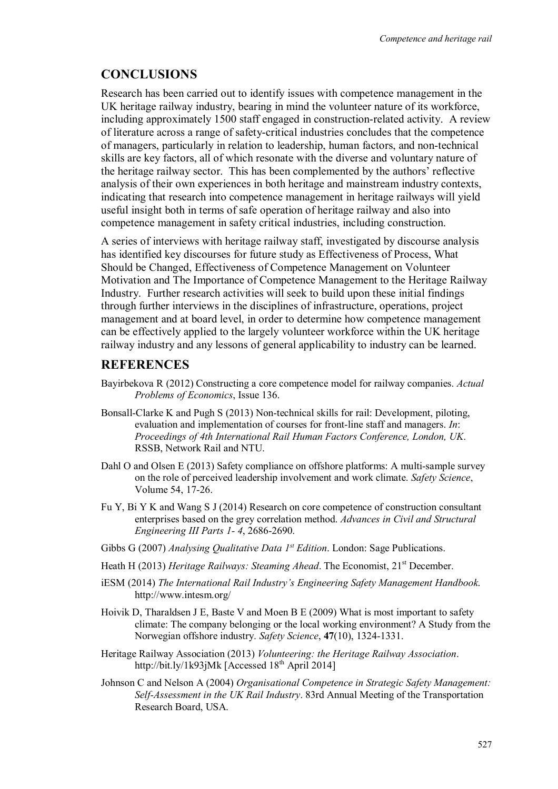## **CONCLUSIONS**

Research has been carried out to identify issues with competence management in the UK heritage railway industry, bearing in mind the volunteer nature of its workforce, including approximately 1500 staff engaged in construction-related activity. A review of literature across a range of safety-critical industries concludes that the competence of managers, particularly in relation to leadership, human factors, and non-technical skills are key factors, all of which resonate with the diverse and voluntary nature of the heritage railway sector. This has been complemented by the authors' reflective analysis of their own experiences in both heritage and mainstream industry contexts. indicating that research into competence management in heritage railways will yield useful insight both in terms of safe operation of heritage railway and also into competence management in safety critical industries, including construction.

A series of interviews with heritage railway staff, investigated by discourse analysis has identified key discourses for future study as Effectiveness of Process, What Should be Changed, Effectiveness of Competence Management on Volunteer Motivation and The Importance of Competence Management to the Heritage Railway Industry. Further research activities will seek to build upon these initial findings through further interviews in the disciplines of infrastructure, operations, project management and at board level, in order to determine how competence management can be effectively applied to the largely volunteer workforce within the UK heritage railway industry and any lessons of general applicability to industry can be learned.

## **REFERENCES**

- Bayirbekova R (2012) Constructing a core competence model for railway companies. Actual Problems of Economics, Issue 136.
- Bonsall-Clarke K and Pugh S (2013) Non-technical skills for rail: Development, piloting, evaluation and implementation of courses for front-line staff and managers. In: Proceedings of 4th International Rail Human Factors Conference, London, UK. RSSB, Network Rail and NTU.
- Dahl O and Olsen E (2013) Safety compliance on offshore platforms: A multi-sample survey on the role of perceived leadership involvement and work climate. Safety Science, Volume 54, 17-26.
- Fu Y, Bi Y K and Wang S J (2014) Research on core competence of construction consultant enterprises based on the grey correlation method. Advances in Civil and Structural Engineering III Parts 1-4, 2686-2690.
- Gibbs G (2007) Analysing Qualitative Data  $I^{st}$  Edition. London: Sage Publications.
- Heath H (2013) *Heritage Railways: Steaming Ahead*. The Economist, 21<sup>st</sup> December.
- iESM (2014) The International Rail Industry's Engineering Safety Management Handbook. http://www.intesm.org/
- Hoivik D. Tharaldsen J E. Baste V and Moen B E (2009) What is most important to safety climate: The company belonging or the local working environment? A Study from the Norwegian offshore industry. Safety Science, 47(10), 1324-1331.
- Heritage Railway Association (2013) Volunteering: the Heritage Railway Association. http://bit.ly/1k93jMk [Accessed  $18<sup>th</sup>$  April 2014]
- Johnson C and Nelson A (2004) Organisational Competence in Strategic Safety Management: Self-Assessment in the UK Rail Industry. 83rd Annual Meeting of the Transportation Research Board, USA.